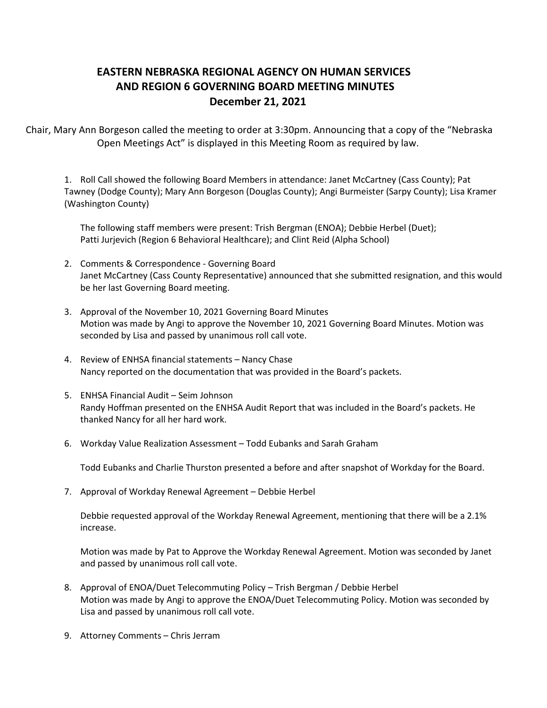# **EASTERN NEBRASKA REGIONAL AGENCY ON HUMAN SERVICES   AND REGION 6 GOVERNING BOARD MEETING MINUTES  December 21, 2021**

Chair, Mary Ann Borgeson called the meeting to order at 3:30pm. Announcing that a copy of the "Nebraska Open Meetings Act" is displayed in this Meeting Room as required by law. 

1. Roll Call showed the following Board Members in attendance: Janet McCartney (Cass County); Pat Tawney (Dodge County); Mary Ann Borgeson (Douglas County); Angi Burmeister (Sarpy County); Lisa Kramer (Washington County)  

The following staff members were present: Trish Bergman (ENOA); Debbie Herbel (Duet); Patti Jurjevich (Region 6 Behavioral Healthcare); and Clint Reid (Alpha School)  

- 2. Comments & Correspondence Governing Board Janet McCartney (Cass County Representative) announced that she submitted resignation, and this would be her last Governing Board meeting.
- 3. Approval of the November 10, 2021 Governing Board Minutes Motion was made by Angi to approve the November 10, 2021 Governing Board Minutes. Motion was seconded by Lisa and passed by unanimous roll call vote.
- 4. Review of ENHSA financial statements Nancy Chase Nancy reported on the documentation that was provided in the Board's packets.
- 5. ENHSA Financial Audit Seim Johnson Randy Hoffman presented on the ENHSA Audit Report that was included in the Board's packets. He thanked Nancy for all her hard work.
- 6. Workday Value Realization Assessment Todd Eubanks and Sarah Graham

Todd Eubanks and Charlie Thurston presented a before and after snapshot of Workday for the Board.

7. Approval of Workday Renewal Agreement – Debbie Herbel

Debbie requested approval of the Workday Renewal Agreement, mentioning that there will be a 2.1% increase.

Motion was made by Pat to Approve the Workday Renewal Agreement. Motion was seconded by Janet and passed by unanimous roll call vote.

- 8. Approval of ENOA/Duet Telecommuting Policy Trish Bergman / Debbie Herbel Motion was made by Angi to approve the ENOA/Duet Telecommuting Policy. Motion was seconded by Lisa and passed by unanimous roll call vote.
- 9. Attorney Comments Chris Jerram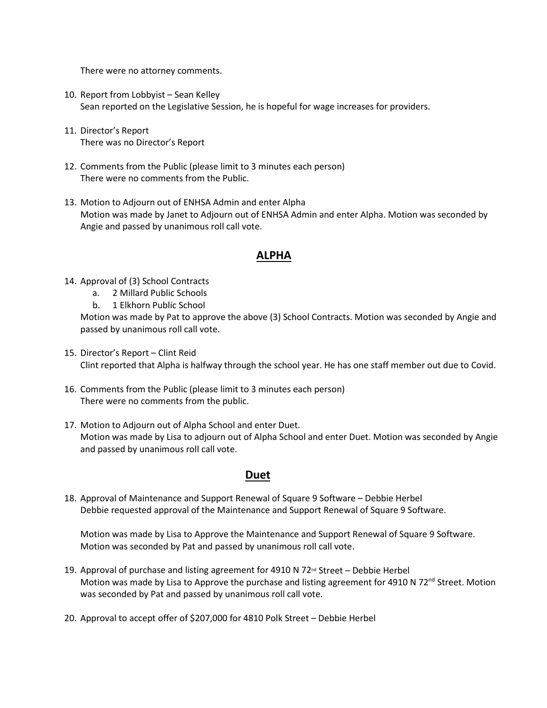There were no attorney comments.

- 10. Report from Lobbyist Sean Kelley Sean reported on the Legislative Session, he is hopeful for wage increases for providers.
- 11. Director's Report There was no Director's Report
- 12. Comments from the Public (please limit to 3 minutes each person) There were no comments from the Public.
- 13. Motion to Adjourn out of ENHSA Admin and enter Alpha Motion was made by Janet to Adjourn out of ENHSA Admin and enter Alpha. Motion was seconded by Angie and passed by unanimous roll call vote.

## **ALPHA**

- 14. Approval of (3) School Contracts
	- a. 2 Millard Public Schools
	- b. 1 Elkhorn Public School

Motion was made by Pat to approve the above (3) School Contracts. Motion was seconded by Angie and passed by unanimous roll call vote.

- 15. Director's Report Clint Reid Clint reported that Alpha is halfway through the school year. He has one staff member out due to Covid.
- 16. Comments from the Public (please limit to 3 minutes each person) There were no comments from the public.
- 17. Motion to Adjourn out of Alpha School and enter Duet. Motion was made by Lisa to adjourn out of Alpha School and enter Duet. Motion was seconded by Angie and passed by unanimous roll call vote.

## **Duet**

18. Approval of Maintenance and Support Renewal of Square 9 Software – Debbie Herbel Debbie requested approval of the Maintenance and Support Renewal of Square 9 Software.

Motion was made by Lisa to Approve the Maintenance and Support Renewal of Square 9 Software. Motion was seconded by Pat and passed by unanimous roll call vote.

- 19. Approval of purchase and listing agreement for 4910 N 72<sup>nd</sup> Street Debbie Herbel Motion was made by Lisa to Approve the purchase and listing agreement for 4910 N 72<sup>nd</sup> Street. Motion was seconded by Pat and passed by unanimous roll call vote.
- 20. Approval to accept offer of \$207,000 for 4810 Polk Street Debbie Herbel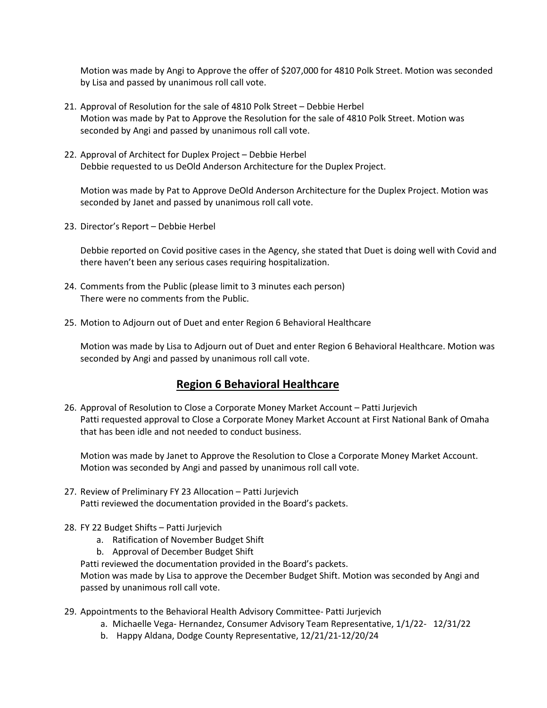Motion was made by Angi to Approve the offer of \$207,000 for 4810 Polk Street. Motion was seconded by Lisa and passed by unanimous roll call vote.

- 21. Approval of Resolution for the sale of 4810 Polk Street Debbie Herbel Motion was made by Pat to Approve the Resolution for the sale of 4810 Polk Street. Motion was seconded by Angi and passed by unanimous roll call vote.
- 22. Approval of Architect for Duplex Project Debbie Herbel Debbie requested to us DeOld Anderson Architecture for the Duplex Project.

Motion was made by Pat to Approve DeOld Anderson Architecture for the Duplex Project. Motion was seconded by Janet and passed by unanimous roll call vote.

23. Director's Report – Debbie Herbel

Debbie reported on Covid positive cases in the Agency, she stated that Duet is doing well with Covid and there haven't been any serious cases requiring hospitalization.

- 24. Comments from the Public (please limit to 3 minutes each person) There were no comments from the Public.
- 25. Motion to Adjourn out of Duet and enter Region 6 Behavioral Healthcare

Motion was made by Lisa to Adjourn out of Duet and enter Region 6 Behavioral Healthcare. Motion was seconded by Angi and passed by unanimous roll call vote.

## **Region 6 Behavioral Healthcare**

26. Approval of Resolution to Close a Corporate Money Market Account – Patti Jurjevich Patti requested approval to Close a Corporate Money Market Account at First National Bank of Omaha that has been idle and not needed to conduct business.

Motion was made by Janet to Approve the Resolution to Close a Corporate Money Market Account. Motion was seconded by Angi and passed by unanimous roll call vote.

- 27. Review of Preliminary FY 23 Allocation Patti Jurjevich Patti reviewed the documentation provided in the Board's packets.
- 28. FY 22 Budget Shifts Patti Jurjevich
	- a. Ratification of November Budget Shift
	- b. Approval of December Budget Shift

Patti reviewed the documentation provided in the Board's packets.

Motion was made by Lisa to approve the December Budget Shift. Motion was seconded by Angi and passed by unanimous roll call vote.

- 29. Appointments to the Behavioral Health Advisory Committee- Patti Jurjevich
	- a. Michaelle Vega- Hernandez, Consumer Advisory Team Representative, 1/1/22- 12/31/22
	- b. Happy Aldana, Dodge County Representative, 12/21/21-12/20/24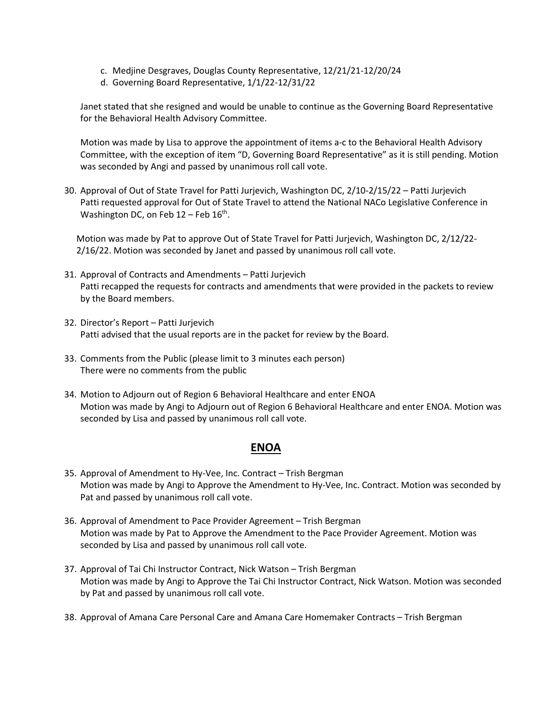- c. Medjine Desgraves, Douglas County Representative, 12/21/21-12/20/24
- d. Governing Board Representative, 1/1/22-12/31/22

Janet stated that she resigned and would be unable to continue as the Governing Board Representative for the Behavioral Health Advisory Committee.

Motion was made by Lisa to approve the appointment of items a-c to the Behavioral Health Advisory Committee, with the exception of item "D, Governing Board Representative" as it is still pending. Motion was seconded by Angi and passed by unanimous roll call vote.

30. Approval of Out of State Travel for Patti Jurjevich, Washington DC, 2/10-2/15/22 – Patti Jurjevich Patti requested approval for Out of State Travel to attend the National NACo Legislative Conference in Washington DC, on Feb  $12$  – Feb  $16<sup>th</sup>$ .

Motion was made by Pat to approve Out of State Travel for Patti Jurjevich, Washington DC, 2/12/22- 2/16/22. Motion was seconded by Janet and passed by unanimous roll call vote.

- 31. Approval of Contracts and Amendments Patti Jurjevich Patti recapped the requests for contracts and amendments that were provided in the packets to review by the Board members.
- 32. Director's Report Patti Jurjevich Patti advised that the usual reports are in the packet for review by the Board.
- 33. Comments from the Public (please limit to 3 minutes each person) There were no comments from the public
- 34. Motion to Adjourn out of Region 6 Behavioral Healthcare and enter ENOA Motion was made by Angi to Adjourn out of Region 6 Behavioral Healthcare and enter ENOA. Motion was seconded by Lisa and passed by unanimous roll call vote.

### **ENOA**

- 35. Approval of Amendment to Hy-Vee, Inc. Contract Trish Bergman Motion was made by Angi to Approve the Amendment to Hy-Vee, Inc. Contract. Motion was seconded by Pat and passed by unanimous roll call vote.
- 36. Approval of Amendment to Pace Provider Agreement Trish Bergman Motion was made by Pat to Approve the Amendment to the Pace Provider Agreement. Motion was seconded by Lisa and passed by unanimous roll call vote.
- 37. Approval of Tai Chi Instructor Contract, Nick Watson Trish Bergman Motion was made by Angi to Approve the Tai Chi Instructor Contract, Nick Watson. Motion was seconded by Pat and passed by unanimous roll call vote.
- 38. Approval of Amana Care Personal Care and Amana Care Homemaker Contracts Trish Bergman